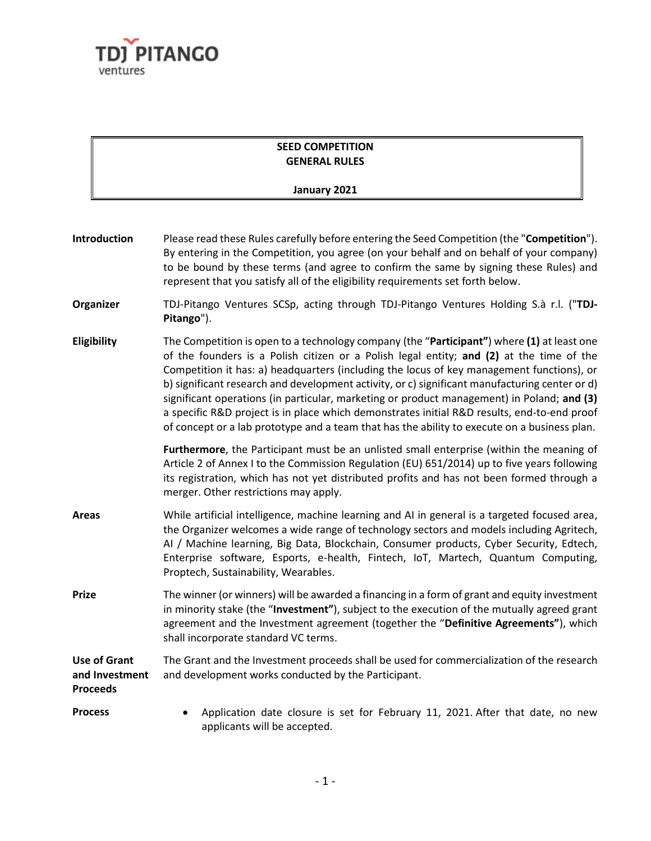

## **SEED COMPETITION GENERAL RULES**

## **January 2021**

| Introduction                                             | Please read these Rules carefully before entering the Seed Competition (the "Competition").<br>By entering in the Competition, you agree (on your behalf and on behalf of your company)<br>to be bound by these terms (and agree to confirm the same by signing these Rules) and<br>represent that you satisfy all of the eligibility requirements set forth below.                                                                                                                                                                                                                                                                                                                |
|----------------------------------------------------------|------------------------------------------------------------------------------------------------------------------------------------------------------------------------------------------------------------------------------------------------------------------------------------------------------------------------------------------------------------------------------------------------------------------------------------------------------------------------------------------------------------------------------------------------------------------------------------------------------------------------------------------------------------------------------------|
| Organizer                                                | TDJ-Pitango Ventures SCSp, acting through TDJ-Pitango Ventures Holding S.à r.l. ("TDJ-<br>Pitango").                                                                                                                                                                                                                                                                                                                                                                                                                                                                                                                                                                               |
| Eligibility                                              | The Competition is open to a technology company (the "Participant") where (1) at least one<br>of the founders is a Polish citizen or a Polish legal entity; and (2) at the time of the<br>Competition it has: a) headquarters (including the locus of key management functions), or<br>b) significant research and development activity, or c) significant manufacturing center or d)<br>significant operations (in particular, marketing or product management) in Poland; and (3)<br>a specific R&D project is in place which demonstrates initial R&D results, end-to-end proof<br>of concept or a lab prototype and a team that has the ability to execute on a business plan. |
|                                                          | Furthermore, the Participant must be an unlisted small enterprise (within the meaning of<br>Article 2 of Annex I to the Commission Regulation (EU) 651/2014) up to five years following<br>its registration, which has not yet distributed profits and has not been formed through a<br>merger. Other restrictions may apply.                                                                                                                                                                                                                                                                                                                                                      |
| <b>Areas</b>                                             | While artificial intelligence, machine learning and AI in general is a targeted focused area,<br>the Organizer welcomes a wide range of technology sectors and models including Agritech,<br>AI / Machine learning, Big Data, Blockchain, Consumer products, Cyber Security, Edtech,<br>Enterprise software, Esports, e-health, Fintech, IoT, Martech, Quantum Computing,<br>Proptech, Sustainability, Wearables.                                                                                                                                                                                                                                                                  |
| <b>Prize</b>                                             | The winner (or winners) will be awarded a financing in a form of grant and equity investment<br>in minority stake (the "Investment"), subject to the execution of the mutually agreed grant<br>agreement and the Investment agreement (together the "Definitive Agreements"), which<br>shall incorporate standard VC terms.                                                                                                                                                                                                                                                                                                                                                        |
| <b>Use of Grant</b><br>and Investment<br><b>Proceeds</b> | The Grant and the Investment proceeds shall be used for commercialization of the research<br>and development works conducted by the Participant.                                                                                                                                                                                                                                                                                                                                                                                                                                                                                                                                   |
| <b>Process</b>                                           | Application date closure is set for February 11, 2021. After that date, no new<br>applicants will be accepted.                                                                                                                                                                                                                                                                                                                                                                                                                                                                                                                                                                     |